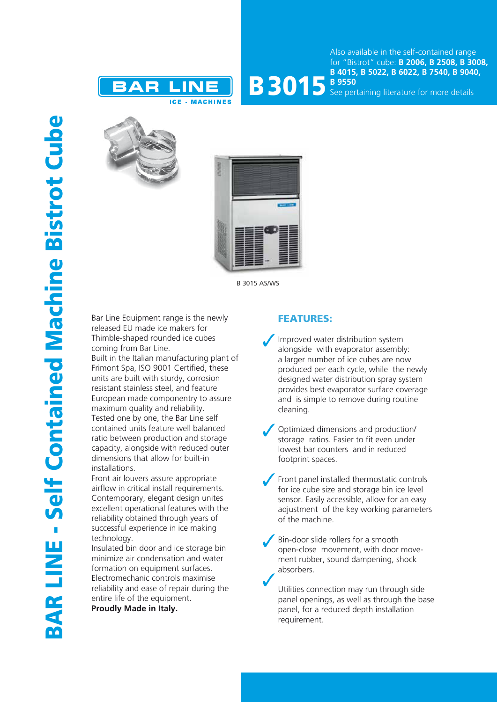



See pertaining literature for more details





B 3015 AS/WS

Bar Line Equipment range is the newly released EU made ice makers for Thimble-shaped rounded ice cubes coming from Bar Line.

Built in the Italian manufacturing plant of Frimont Spa, ISO 9001 Certified, these units are built with sturdy, corrosion resistant stainless steel, and feature European made componentry to assure maximum quality and reliability. Tested one by one, the Bar Line self contained units feature well balanced ratio between production and storage capacity, alongside with reduced outer dimensions that allow for built-in installations.

Front air louvers assure appropriate airflow in critical install requirements. Contemporary, elegant design unites excellent operational features with the reliability obtained through years of successful experience in ice making technology.

Insulated bin door and ice storage bin minimize air condensation and water formation on equipment surfaces. Electromechanic controls maximise reliability and ease of repair during the entire life of the equipment.

**Proudly Made in Italy.**

## FEATURES:

- Improved water distribution system alongside with evaporator assembly: a larger number of ice cubes are now produced per each cycle, while the newly designed water distribution spray system provides best evaporator surface coverage and is simple to remove during routine cleaning.
- Optimized dimensions and production/ storage ratios. Easier to fit even under lowest bar counters and in reduced footprint spaces.
- Front panel installed thermostatic controls for ice cube size and storage bin ice level sensor. Easily accessible, allow for an easy adjustment of the key working parameters of the machine.
- Bin-door slide rollers for a smooth open-close movement, with door movement rubber, sound dampening, shock absorbers.

Utilities connection may run through side panel openings, as well as through the base panel, for a reduced depth installation requirement.